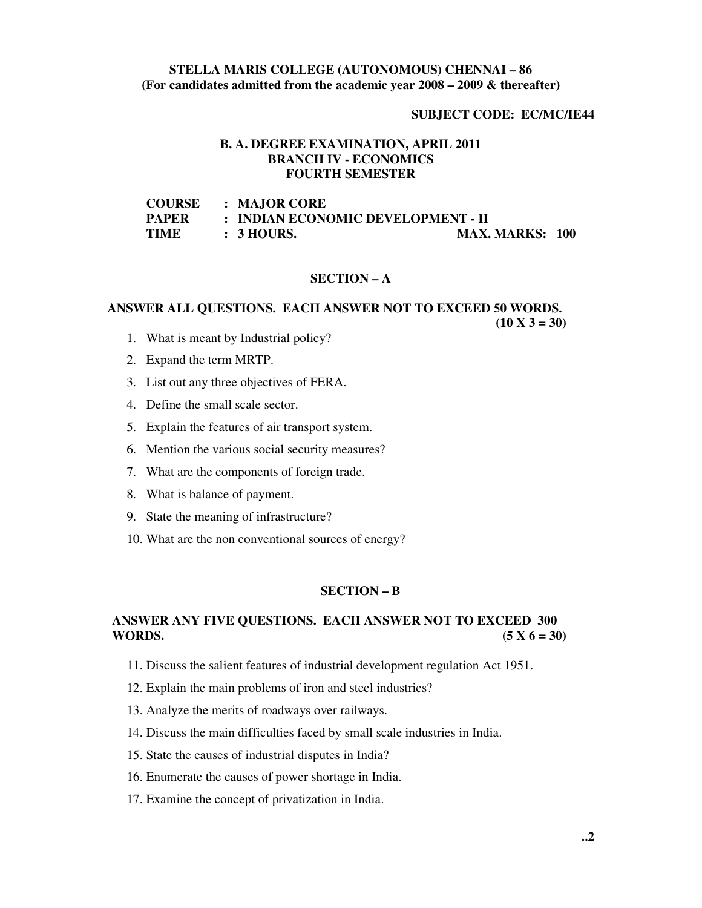### **STELLA MARIS COLLEGE (AUTONOMOUS) CHENNAI – 86 (For candidates admitted from the academic year 2008 – 2009 & thereafter)**

#### **SUBJECT CODE: EC/MC/IE44**

### **B. A. DEGREE EXAMINATION, APRIL 2011 BRANCH IV - ECONOMICS FOURTH SEMESTER**

| <b>COURSE</b> | : MAJOR CORE                       |                        |  |
|---------------|------------------------------------|------------------------|--|
| <b>PAPER</b>  | : INDIAN ECONOMIC DEVELOPMENT - II |                        |  |
| <b>TIME</b>   | $\therefore$ 3 HOURS.              | <b>MAX. MARKS: 100</b> |  |

#### **SECTION – A**

#### **ANSWER ALL QUESTIONS. EACH ANSWER NOT TO EXCEED 50 WORDS.**

 $(10 \text{ X } 3 = 30)$ 

- 1. What is meant by Industrial policy?
- 2. Expand the term MRTP.
- 3. List out any three objectives of FERA.
- 4. Define the small scale sector.
- 5. Explain the features of air transport system.
- 6. Mention the various social security measures?
- 7. What are the components of foreign trade.
- 8. What is balance of payment.
- 9. State the meaning of infrastructure?
- 10. What are the non conventional sources of energy?

#### **SECTION – B**

# **ANSWER ANY FIVE QUESTIONS. EACH ANSWER NOT TO EXCEED 300 WORDS.**  $(5 X 6 = 30)$

- 11. Discuss the salient features of industrial development regulation Act 1951.
- 12. Explain the main problems of iron and steel industries?
- 13. Analyze the merits of roadways over railways.
- 14. Discuss the main difficulties faced by small scale industries in India.
- 15. State the causes of industrial disputes in India?
- 16. Enumerate the causes of power shortage in India.
- 17. Examine the concept of privatization in India.